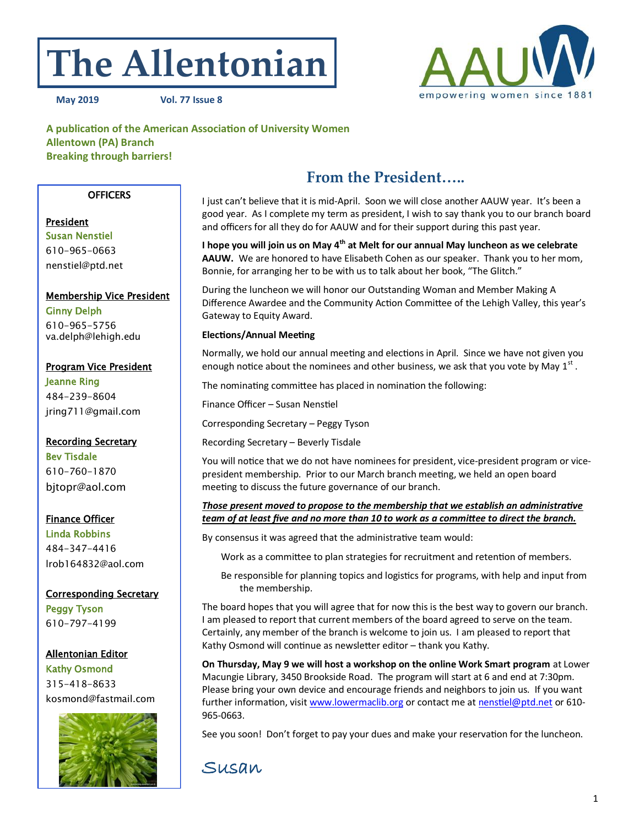# **The Allentonian**



**May 2019 Vol. 77 Issue 8**

**A publication of the American Association of University Women Allentown (PA) Branch Breaking through barriers!**

#### **OFFICERS**

# President Susan Nenstiel

610-965-0663 [nenstiel@ptd.net](mailto:nenstiel@ptd.net)

#### Membership Vice President Ginny Delph 610-965-5756

va.delph@lehigh.edu

# Program Vice President

Jeanne Ring 484-239-8604 jring711@gmail.com

Recording Secretary Bev Tisdale 610-760-1870 bjtopr@aol.com

## Finance Officer

Linda Robbins 484-347-4416 lrob164832@aol.com

### Corresponding Secretary

Peggy Tyson 610-797-4199

### Allentonian Editor

Kathy Osmond 315-418-8633 kosmond@fastmail.com



# **From the President…..**

I just can't believe that it is mid-April. Soon we will close another AAUW year. It's been a good year. As I complete my term as president, I wish to say thank you to our branch board and officers for all they do for AAUW and for their support during this past year.

**I hope you will join us on May 4th at Melt for our annual May luncheon as we celebrate AAUW.** We are honored to have Elisabeth Cohen as our speaker. Thank you to her mom, Bonnie, for arranging her to be with us to talk about her book, "The Glitch."

During the luncheon we will honor our Outstanding Woman and Member Making A Difference Awardee and the Community Action Committee of the Lehigh Valley, this year's Gateway to Equity Award.

#### **Elections/Annual Meeting**

Normally, we hold our annual meeting and elections in April. Since we have not given you enough notice about the nominees and other business, we ask that you vote by May  $1^{\text{st}}$  .

The nominating committee has placed in nomination the following:

Finance Officer – Susan Nenstiel

Corresponding Secretary – Peggy Tyson

Recording Secretary – Beverly Tisdale

You will notice that we do not have nominees for president, vice-president program or vicepresident membership. Prior to our March branch meeting, we held an open board meeting to discuss the future governance of our branch.

#### *Those present moved to propose to the membership that we establish an administrative team of at least five and no more than 10 to work as a committee to direct the branch.*

By consensus it was agreed that the administrative team would:

Work as a committee to plan strategies for recruitment and retention of members.

Be responsible for planning topics and logistics for programs, with help and input from the membership.

The board hopes that you will agree that for now this is the best way to govern our branch. I am pleased to report that current members of the board agreed to serve on the team. Certainly, any member of the branch is welcome to join us. I am pleased to report that Kathy Osmond will continue as newsletter editor – thank you Kathy.

**On Thursday, May 9 we will host a workshop on the online Work Smart program** at Lower Macungie Library, 3450 Brookside Road. The program will start at 6 and end at 7:30pm. Please bring your own device and encourage friends and neighbors to join us. If you want further information, visit [www.lowermaclib.org](http://www.lowermaclib.org) or contact me at [nenstiel@ptd.net](mailto:nenstiel@ptd.net) or 610- 965-0663.

See you soon! Don't forget to pay your dues and make your reservation for the luncheon.

# Susan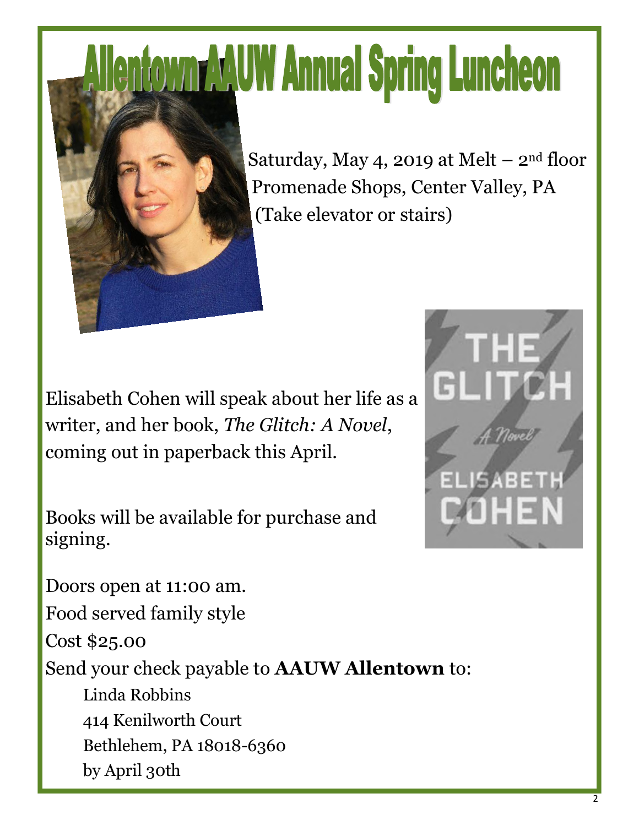# **enfown AAUW Annual Spring Luncheon**



Saturday, May 4, 2019 at Melt  $-$  2<sup>nd</sup> floor Promenade Shops, Center Valley, PA (Take elevator or stairs)

Elisabeth Cohen will speak about her life as a writer, and her book, *The Glitch: A Novel*, coming out in paperback this April.

Books will be available for purchase and signing.

Doors open at 11:00 am. Food served family style Cost \$25.00 Send your check payable to **AAUW Allentown** to: Linda Robbins 414 Kenilworth Court Bethlehem, PA 18018-6360 by April 30th

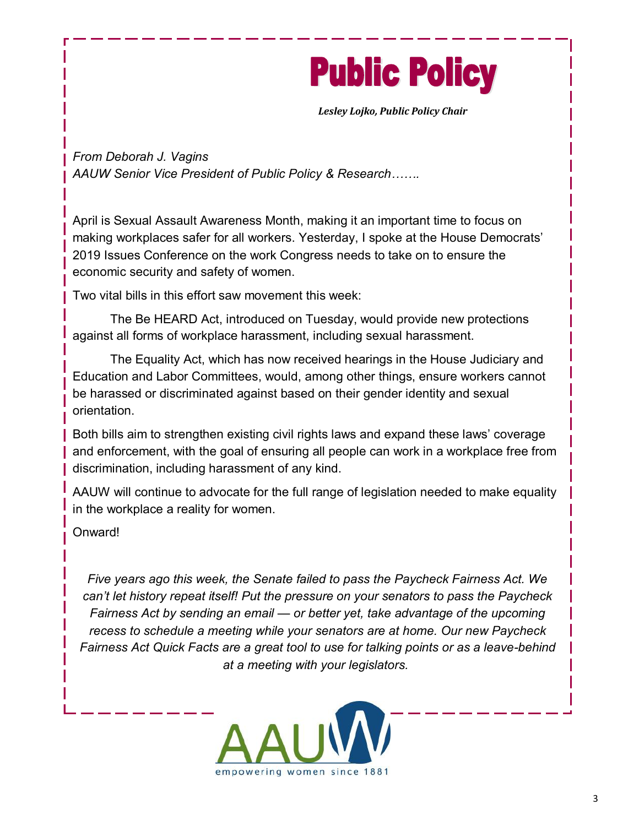

*Lesley Lojko, Public Policy Chair*

*From Deborah J. Vagins AAUW Senior Vice President of Public Policy & Research…….*

April is Sexual Assault Awareness Month, making it an important time to focus on making workplaces safer for all workers. Yesterday, I spoke at the House Democrats' 2019 Issues Conference on the work Congress needs to take on to ensure the economic security and safety of women.

Two vital bills in this effort saw movement this week:

The Be HEARD Act, introduced on Tuesday, would provide new protections against all forms of workplace harassment, including sexual harassment.

The Equality Act, which has now received hearings in the House Judiciary and Education and Labor Committees, would, among other things, ensure workers cannot be harassed or discriminated against based on their gender identity and sexual orientation.

Both bills aim to strengthen existing civil rights laws and expand these laws' coverage and enforcement, with the goal of ensuring all people can work in a workplace free from discrimination, including harassment of any kind.

AAUW will continue to advocate for the full range of legislation needed to make equality in the workplace a reality for women.

Onward!

*Five years ago this week, the Senate failed to pass the Paycheck Fairness Act. We can't let history repeat itself! Put the pressure on your senators to pass the Paycheck Fairness Act by sending an email — or better yet, take advantage of the upcoming recess to schedule a meeting while your senators are at home. Our new Paycheck Fairness Act Quick Facts are a great tool to use for talking points or as a leave-behind at a meeting with your legislators.*

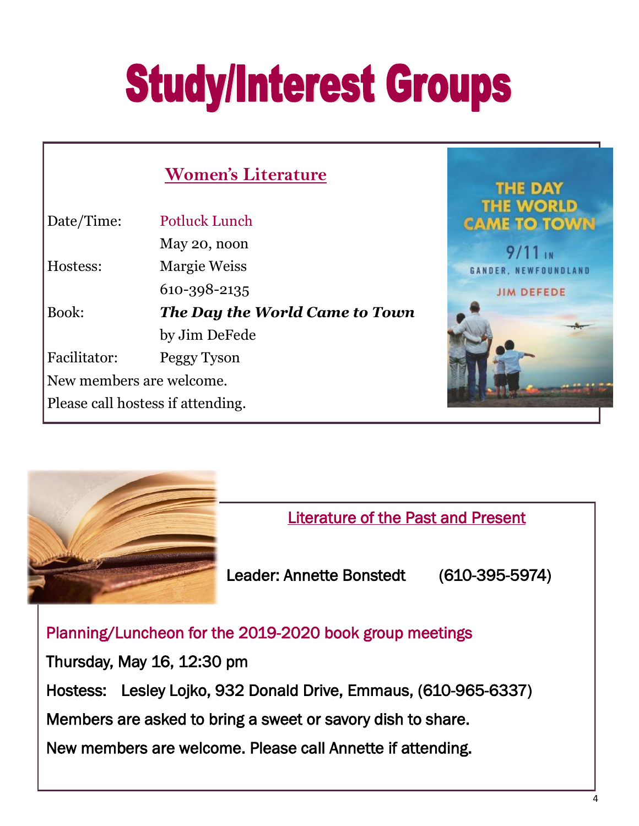# **Study/Interest Groups**

|                          | <b>Women's Literature</b>         | <b>THE DAY</b>                         |
|--------------------------|-----------------------------------|----------------------------------------|
| Date/Time:               | Potluck Lunch                     | <b>THE WORLD</b><br><b>CAME TO TOW</b> |
|                          | May 20, noon                      | $9/11_{1N}$                            |
| Hostess:                 | <b>Margie Weiss</b>               | <b>GANDER, NEWFOUNDLAI</b>             |
|                          | 610-398-2135                      | <b>JIM DEFEDE</b>                      |
| Book:                    | The Day the World Came to Town    |                                        |
|                          | by Jim DeFede                     |                                        |
| Facilitator:             | Peggy Tyson                       |                                        |
| New members are welcome. |                                   |                                        |
|                          | Please call hostess if attending. |                                        |
|                          |                                   |                                        |



Literature of the Past and Present

Leader: Annette Bonstedt (610-395-5974)

Planning/Luncheon for the 2019-2020 book group meetings

Thursday, May 16, 12:30 pm Hostess: Lesley Lojko, 932 Donald Drive, Emmaus, (610-965-6337) Members are asked to bring a sweet or savory dish to share. New members are welcome. Please call Annette if attending.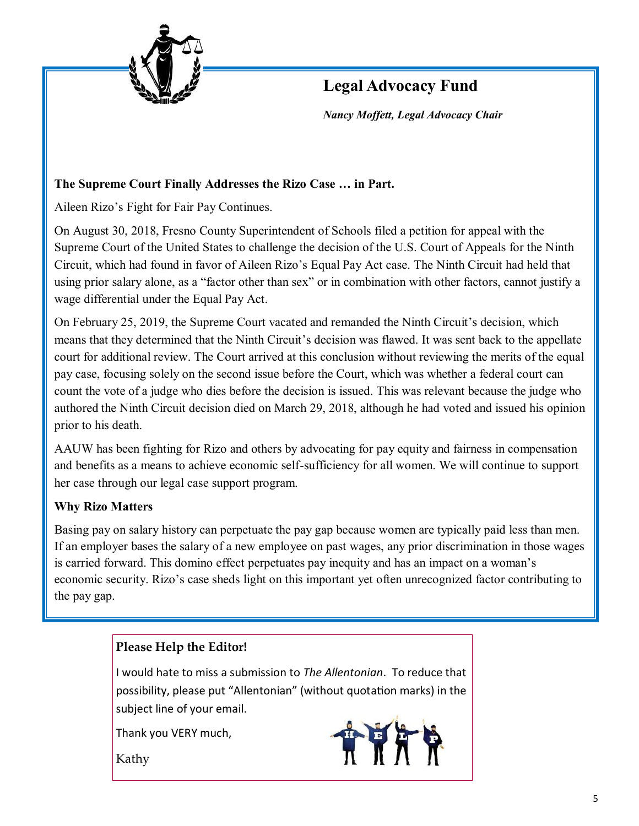

# **Legal Advocacy Fund**

*Nancy Moffett, Legal Advocacy Chair*

## **The Supreme Court Finally Addresses the Rizo Case … in Part.**

Aileen Rizo's Fight for Fair Pay Continues.

On August 30, 2018, Fresno County Superintendent of Schools filed a petition for appeal with the Supreme Court of the United States to challenge the decision of the U.S. Court of Appeals for the Ninth Circuit, which had found in favor of Aileen Rizo's Equal Pay Act case. The Ninth Circuit had held that using prior salary alone, as a "factor other than sex" or in combination with other factors, cannot justify a wage differential under the Equal Pay Act.

On February 25, 2019, the Supreme Court vacated and remanded the Ninth Circuit's decision, which means that they determined that the Ninth Circuit's decision was flawed. It was sent back to the appellate court for additional review. The Court arrived at this conclusion without reviewing the merits of the equal pay case, focusing solely on the second issue before the Court, which was whether a federal court can count the vote of a judge who dies before the decision is issued. This was relevant because the judge who authored the Ninth Circuit decision died on March 29, 2018, although he had voted and issued his opinion prior to his death.

AAUW has been fighting for Rizo and others by advocating for pay equity and fairness in compensation and benefits as a means to achieve economic self-sufficiency for all women. We will continue to support her case through our legal case support program.

## **Why Rizo Matters**

Basing pay on salary history can perpetuate the pay gap because women are typically paid less than men. If an employer bases the salary of a new employee on past wages, any prior discrimination in those wages is carried forward. This domino effect perpetuates pay inequity and has an impact on a woman's economic security. Rizo's case sheds light on this important yet often unrecognized factor contributing to the pay gap.

# **Please Help the Editor!**

I would hate to miss a submission to *The Allentonian*. To reduce that possibility, please put "Allentonian" (without quotation marks) in the subject line of your email.

Thank you VERY much,

Kathy

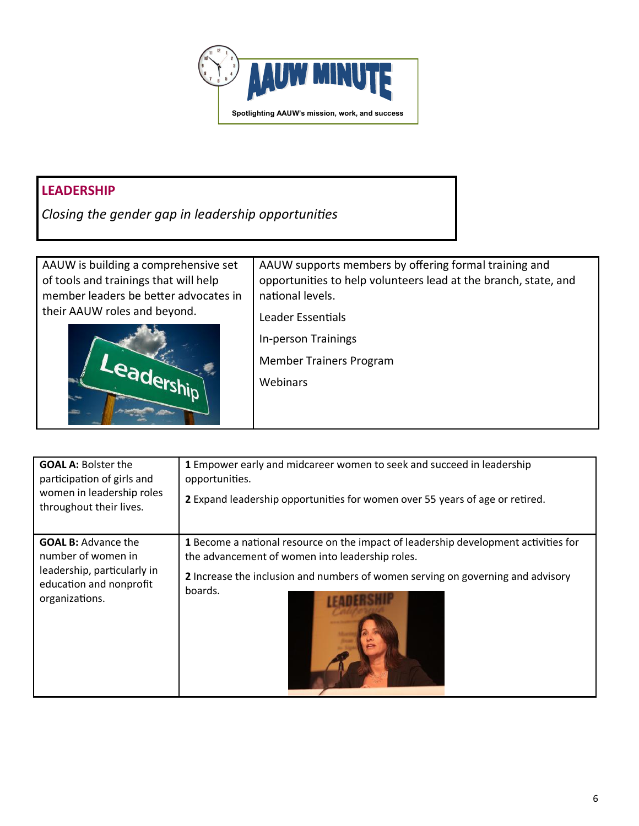

# **LEADERSHIP**

*Closing the gender gap in leadership opportunities*

AAUW is building a comprehensive set of tools and trainings that will help member leaders be better advocates in their AAUW roles and beyond.



AAUW supports members by offering formal training and opportunities to help volunteers lead at the branch, state, and national levels.

Leader Essentials

In-person Trainings

Member Trainers Program

Webinars

| <b>GOAL A: Bolster the</b><br>participation of girls and<br>women in leadership roles<br>throughout their lives.             | 1 Empower early and midcareer women to seek and succeed in leadership<br>opportunities.<br>2 Expand leadership opportunities for women over 55 years of age or retired.                                                              |
|------------------------------------------------------------------------------------------------------------------------------|--------------------------------------------------------------------------------------------------------------------------------------------------------------------------------------------------------------------------------------|
| <b>GOAL B:</b> Advance the<br>number of women in<br>leadership, particularly in<br>education and nonprofit<br>organizations. | 1 Become a national resource on the impact of leadership development activities for<br>the advancement of women into leadership roles.<br>2 Increase the inclusion and numbers of women serving on governing and advisory<br>boards. |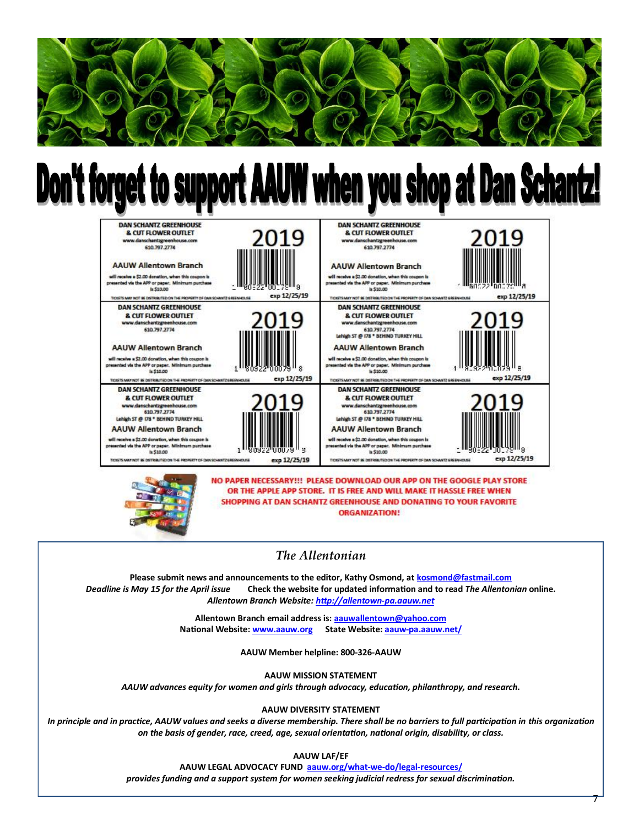

# **Don't forget to support AAUW when you shop at Dan Schantz!**





NO PAPER NECESSARY !!! PLEASE DOWNLOAD OUR APP ON THE GOOGLE PLAY STORE OR THE APPLE APP STORE. IT IS FREE AND WILL MAKE IT HASSLE FREE WHEN SHOPPING AT DAN SCHANTZ GREENHOUSE AND DONATING TO YOUR FAVORITE **ORGANIZATION!** 

### *The Allentonian*

**Please submit news and announcements to the editor, Kathy Osmond, at [kosmond@fastmail.com](#page-7-0)** *Deadline is May 15 for the April issue* **Check the website for updated information and to read** *The Allentonian* **online.**  *Allentown Branch Website: [http://allentown](http://allentown-pa.aauw.net)-pa.aauw.net*

> **Allentown Branch email address is: [aauwallentown@yahoo.com](mailto:aauwallentown@yahoo.com) National Website: [www.aauw.org](http://www.aauw.org) State Website: aauw-[pa.aauw.net/](#page-7-0)**

> > **AAUW Member helpline: 800-326-AAUW**

**AAUW MISSION STATEMENT**

*AAUW advances equity for women and girls through advocacy, education, philanthropy, and research.*

**AAUW DIVERSITY STATEMENT**

In principle and in practice, AAUW values and seeks a diverse membership. There shall be no barriers to full participation in this organization *on the basis of gender, race, creed, age, sexual orientation, national origin, disability, or class.*

**AAUW LAF/EF**

**AAUW LEGAL ADVOCACY FUND [aauw.org/what](#page-7-0)-we-do/legal-resources/**

*provides funding and a support system for women seeking judicial redress for sexual discrimination.*